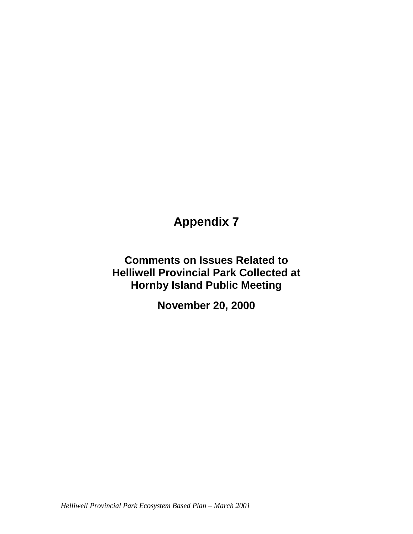# **Appendix 7**

**Comments on Issues Related to Helliwell Provincial Park Collected at Hornby Island Public Meeting** 

**November 20, 2000**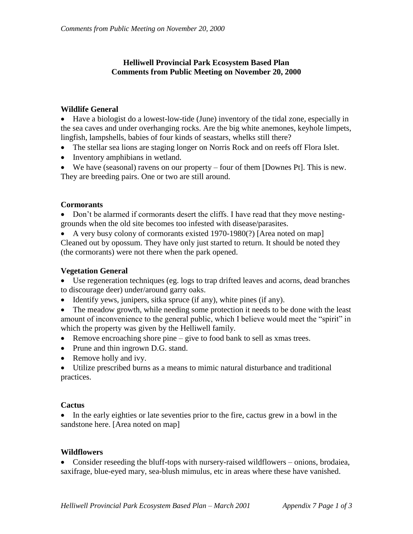## **Helliwell Provincial Park Ecosystem Based Plan Comments from Public Meeting on November 20, 2000**

## **Wildlife General**

 Have a biologist do a lowest-low-tide (June) inventory of the tidal zone, especially in the sea caves and under overhanging rocks. Are the big white anemones, keyhole limpets, lingfish, lampshells, babies of four kinds of seastars, whelks still there?

- The stellar sea lions are staging longer on Norris Rock and on reefs off Flora Islet.
- Inventory amphibians in wetland.

 We have (seasonal) ravens on our property – four of them [Downes Pt]. This is new. They are breeding pairs. One or two are still around.

### **Cormorants**

 Don't be alarmed if cormorants desert the cliffs. I have read that they move nestinggrounds when the old site becomes too infested with disease/parasites.

 A very busy colony of cormorants existed 1970-1980(?) [Area noted on map] Cleaned out by opossum. They have only just started to return. It should be noted they (the cormorants) were not there when the park opened.

## **Vegetation General**

 Use regeneration techniques (eg. logs to trap drifted leaves and acorns, dead branches to discourage deer) under/around garry oaks.

Identify yews, junipers, sitka spruce (if any), white pines (if any).

• The meadow growth, while needing some protection it needs to be done with the least amount of inconvenience to the general public, which I believe would meet the "spirit" in which the property was given by the Helliwell family.

- Remove encroaching shore pine give to food bank to sell as xmas trees.
- Prune and thin ingrown D.G. stand.
- Remove holly and ivy.

 Utilize prescribed burns as a means to mimic natural disturbance and traditional practices.

#### **Cactus**

• In the early eighties or late seventies prior to the fire, cactus grew in a bowl in the sandstone here. [Area noted on map]

#### **Wildflowers**

• Consider reseeding the bluff-tops with nursery-raised wildflowers – onions, brodaiea, saxifrage, blue-eyed mary, sea-blush mimulus, etc in areas where these have vanished.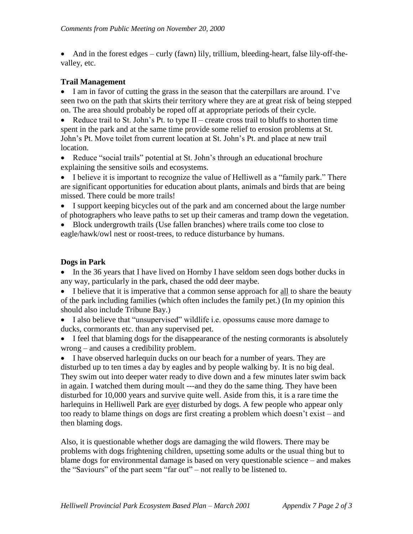• And in the forest edges – curly (fawn) lily, trillium, bleeding-heart, false lily-off-thevalley, etc.

# **Trail Management**

• I am in favor of cutting the grass in the season that the caterpillars are around. I've seen two on the path that skirts their territory where they are at great risk of being stepped on. The area should probably be roped off at appropriate periods of their cycle.

• Reduce trail to St. John's Pt. to type  $II$  – create cross trail to bluffs to shorten time spent in the park and at the same time provide some relief to erosion problems at St. John's Pt. Move toilet from current location at St. John's Pt. and place at new trail location.

• Reduce "social trails" potential at St. John's through an educational brochure explaining the sensitive soils and ecosystems.

• I believe it is important to recognize the value of Helliwell as a "family park." There are significant opportunities for education about plants, animals and birds that are being missed. There could be more trails!

- I support keeping bicycles out of the park and am concerned about the large number of photographers who leave paths to set up their cameras and tramp down the vegetation.
- Block undergrowth trails (Use fallen branches) where trails come too close to eagle/hawk/owl nest or roost-trees, to reduce disturbance by humans.

# **Dogs in Park**

• In the 36 years that I have lived on Hornby I have seldom seen dogs bother ducks in any way, particularly in the park, chased the odd deer maybe.

• I believe that it is imperative that a common sense approach for all to share the beauty of the park including families (which often includes the family pet.) (In my opinion this should also include Tribune Bay.)

- I also believe that "unsupervised" wildlife i.e. opossums cause more damage to ducks, cormorants etc. than any supervised pet.
- I feel that blaming dogs for the disappearance of the nesting cormorants is absolutely wrong – and causes a credibility problem.

• I have observed harlequin ducks on our beach for a number of years. They are disturbed up to ten times a day by eagles and by people walking by. It is no big deal. They swim out into deeper water ready to dive down and a few minutes later swim back in again. I watched them during moult ---and they do the same thing. They have been disturbed for 10,000 years and survive quite well. Aside from this, it is a rare time the harlequins in Helliwell Park are ever disturbed by dogs. A few people who appear only too ready to blame things on dogs are first creating a problem which doesn't exist – and then blaming dogs.

Also, it is questionable whether dogs are damaging the wild flowers. There may be problems with dogs frightening children, upsetting some adults or the usual thing but to blame dogs for environmental damage is based on very questionable science – and makes the "Saviours" of the part seem "far out" – not really to be listened to.